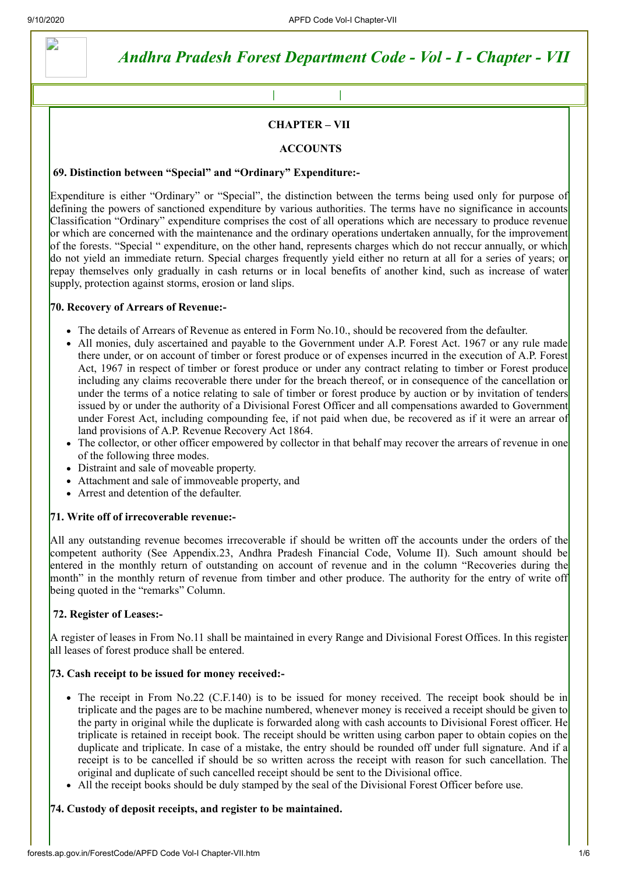D

# *Andhra Pradesh Forest Department Code - Vol - I - Chapter - VII*

#### **CHAPTER – VII**

**[Back](http://forests.ap.gov.in/ForestCode/APFD%20Code%20Vol-I.htm) | [Main\\_Menu](http://forests.ap.gov.in/ForestCode/APFD%20Code%20Index.htm) | [Home](http://forests.ap.gov.in/ForestCode/APFD%20Index.html)**

#### **ACCOUNTS**

#### **69. Distinction between "Special" and "Ordinary" Expenditure:-**

Expenditure is either "Ordinary" or "Special", the distinction between the terms being used only for purpose of defining the powers of sanctioned expenditure by various authorities. The terms have no significance in accounts Classification "Ordinary" expenditure comprises the cost of all operations which are necessary to produce revenue or which are concerned with the maintenance and the ordinary operations undertaken annually, for the improvement of the forests. "Special " expenditure, on the other hand, represents charges which do not reccur annually, or which do not yield an immediate return. Special charges frequently yield either no return at all for a series of years; or repay themselves only gradually in cash returns or in local benefits of another kind, such as increase of water supply, protection against storms, erosion or land slips.

#### **70. Recovery of Arrears of Revenue:-**

- The details of Arrears of Revenue as entered in Form No.10., should be recovered from the defaulter.
- All monies, duly ascertained and payable to the Government under A.P. Forest Act. 1967 or any rule made there under, or on account of timber or forest produce or of expenses incurred in the execution of A.P. Forest Act, 1967 in respect of timber or forest produce or under any contract relating to timber or Forest produce including any claims recoverable there under for the breach thereof, or in consequence of the cancellation or under the terms of a notice relating to sale of timber or forest produce by auction or by invitation of tenders issued by or under the authority of a Divisional Forest Officer and all compensations awarded to Government under Forest Act, including compounding fee, if not paid when due, be recovered as if it were an arrear of land provisions of A.P. Revenue Recovery Act 1864.
- The collector, or other officer empowered by collector in that behalf may recover the arrears of revenue in one of the following three modes.
- Distraint and sale of moveable property.
- Attachment and sale of immoveable property, and
- Arrest and detention of the defaulter.

#### **71. Write off of irrecoverable revenue:-**

All any outstanding revenue becomes irrecoverable if should be written off the accounts under the orders of the competent authority (See Appendix.23, Andhra Pradesh Financial Code, Volume II). Such amount should be entered in the monthly return of outstanding on account of revenue and in the column "Recoveries during the month" in the monthly return of revenue from timber and other produce. The authority for the entry of write off being quoted in the "remarks" Column.

# **72. Register of Leases:-**

A register of leases in From No.11 shall be maintained in every Range and Divisional Forest Offices. In this register all leases of forest produce shall be entered.

#### **73. Cash receipt to be issued for money received:-**

- The receipt in From No.22 (C.F.140) is to be issued for money received. The receipt book should be in triplicate and the pages are to be machine numbered, whenever money is received a receipt should be given to the party in original while the duplicate is forwarded along with cash accounts to Divisional Forest officer. He triplicate is retained in receipt book. The receipt should be written using carbon paper to obtain copies on the duplicate and triplicate. In case of a mistake, the entry should be rounded off under full signature. And if a receipt is to be cancelled if should be so written across the receipt with reason for such cancellation. The original and duplicate of such cancelled receipt should be sent to the Divisional office.
- All the receipt books should be duly stamped by the seal of the Divisional Forest Officer before use.

# **74. Custody of deposit receipts, and register to be maintained.**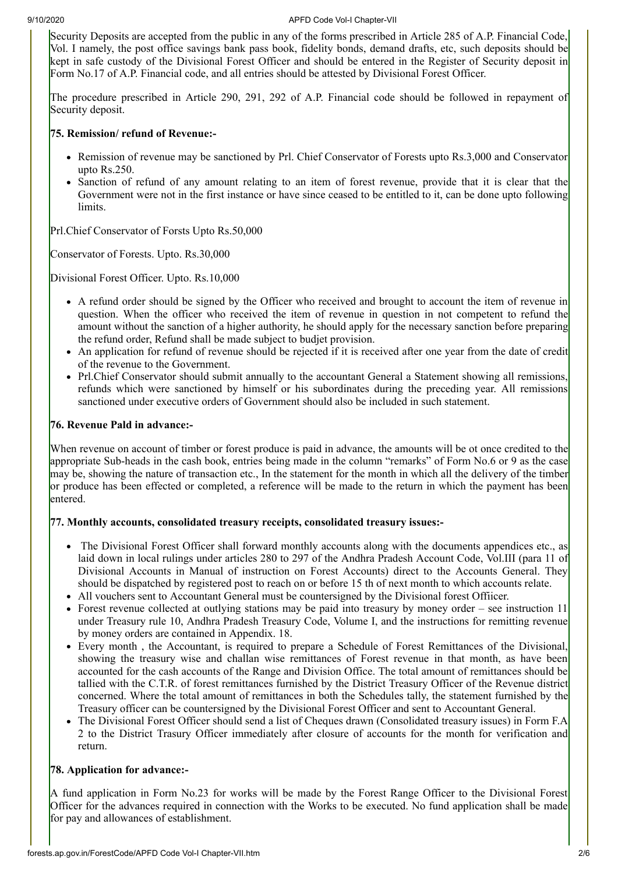Security Deposits are accepted from the public in any of the forms prescribed in Article 285 of A.P. Financial Code, Vol. I namely, the post office savings bank pass book, fidelity bonds, demand drafts, etc, such deposits should be kept in safe custody of the Divisional Forest Officer and should be entered in the Register of Security deposit in Form No.17 of A.P. Financial code, and all entries should be attested by Divisional Forest Officer.

The procedure prescribed in Article 290, 291, 292 of A.P. Financial code should be followed in repayment of Security deposit.

#### **75. Remission/ refund of Revenue:-**

- Remission of revenue may be sanctioned by Prl. Chief Conservator of Forests upto Rs.3,000 and Conservator upto Rs.250.
- Sanction of refund of any amount relating to an item of forest revenue, provide that it is clear that the Government were not in the first instance or have since ceased to be entitled to it, can be done upto following limits.

Prl.Chief Conservator of Forsts Upto Rs.50,000

Conservator of Forests. Upto. Rs.30,000

Divisional Forest Officer. Upto. Rs.10,000

- A refund order should be signed by the Officer who received and brought to account the item of revenue in question. When the officer who received the item of revenue in question in not competent to refund the amount without the sanction of a higher authority, he should apply for the necessary sanction before preparing the refund order, Refund shall be made subject to budjet provision.
- An application for refund of revenue should be rejected if it is received after one year from the date of credit of the revenue to the Government.
- Prl.Chief Conservator should submit annually to the accountant General a Statement showing all remissions, refunds which were sanctioned by himself or his subordinates during the preceding year. All remissions sanctioned under executive orders of Government should also be included in such statement.

# **76. Revenue Pald in advance:-**

When revenue on account of timber or forest produce is paid in advance, the amounts will be ot once credited to the appropriate Sub-heads in the cash book, entries being made in the column "remarks" of Form No.6 or 9 as the case may be, showing the nature of transaction etc., In the statement for the month in which all the delivery of the timber or produce has been effected or completed, a reference will be made to the return in which the payment has been entered.

#### **77. Monthly accounts, consolidated treasury receipts, consolidated treasury issues:-**

- The Divisional Forest Officer shall forward monthly accounts along with the documents appendices etc., as laid down in local rulings under articles 280 to 297 of the Andhra Pradesh Account Code, Vol.III (para 11 of Divisional Accounts in Manual of instruction on Forest Accounts) direct to the Accounts General. They should be dispatched by registered post to reach on or before 15 th of next month to which accounts relate.
- All vouchers sent to Accountant General must be countersigned by the Divisional forest Offiicer.
- Forest revenue collected at outlying stations may be paid into treasury by money order see instruction 11 under Treasury rule 10, Andhra Pradesh Treasury Code, Volume I, and the instructions for remitting revenue by money orders are contained in Appendix. 18.
- Every month , the Accountant, is required to prepare a Schedule of Forest Remittances of the Divisional, showing the treasury wise and challan wise remittances of Forest revenue in that month, as have been accounted for the cash accounts of the Range and Division Office. The total amount of remittances should be tallied with the C.T.R. of forest remittances furnished by the District Treasury Officer of the Revenue district concerned. Where the total amount of remittances in both the Schedules tally, the statement furnished by the Treasury officer can be countersigned by the Divisional Forest Officer and sent to Accountant General.
- The Divisional Forest Officer should send a list of Cheques drawn (Consolidated treasury issues) in Form F.A 2 to the District Trasury Officer immediately after closure of accounts for the month for verification and return.

# **78. Application for advance:-**

A fund application in Form No.23 for works will be made by the Forest Range Officer to the Divisional Forest Officer for the advances required in connection with the Works to be executed. No fund application shall be made for pay and allowances of establishment.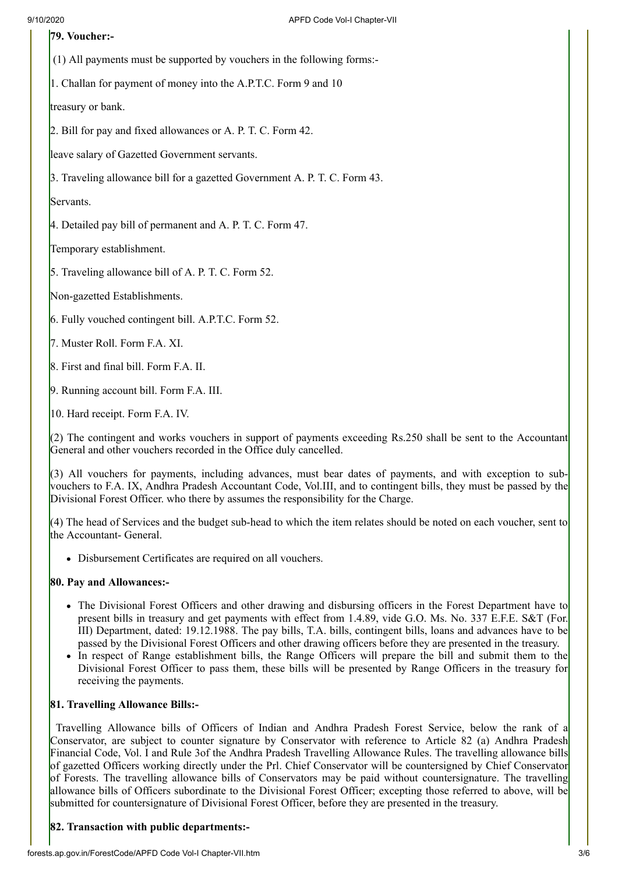# **79. Voucher:-**

(1) All payments must be supported by vouchers in the following forms:-

1. Challan for payment of money into the A.P.T.C. Form 9 and 10

treasury or bank.

2. Bill for pay and fixed allowances or A. P. T. C. Form 42.

leave salary of Gazetted Government servants.

3. Traveling allowance bill for a gazetted Government A. P. T. C. Form 43.

Servants.

4. Detailed pay bill of permanent and A. P. T. C. Form 47.

Temporary establishment.

5. Traveling allowance bill of A. P. T. C. Form 52.

Non-gazetted Establishments.

6. Fully vouched contingent bill. A.P.T.C. Form 52.

7. Muster Roll. Form F.A. XI.

8. First and final bill. Form F.A. II.

9. Running account bill. Form F.A. III.

10. Hard receipt. Form F.A. IV.

(2) The contingent and works vouchers in support of payments exceeding Rs.250 shall be sent to the Accountant General and other vouchers recorded in the Office duly cancelled.

(3) All vouchers for payments, including advances, must bear dates of payments, and with exception to subvouchers to F.A. IX, Andhra Pradesh Accountant Code, Vol.III, and to contingent bills, they must be passed by the Divisional Forest Officer. who there by assumes the responsibility for the Charge.

 $(4)$  The head of Services and the budget sub-head to which the item relates should be noted on each voucher, sent to the Accountant- General.

Disbursement Certificates are required on all vouchers.

# **80. Pay and Allowances:-**

- The Divisional Forest Officers and other drawing and disbursing officers in the Forest Department have to present bills in treasury and get payments with effect from 1.4.89, vide G.O. Ms. No. 337 E.F.E. S&T (For. III) Department, dated: 19.12.1988. The pay bills, T.A. bills, contingent bills, loans and advances have to be passed by the Divisional Forest Officers and other drawing officers before they are presented in the treasury.
- In respect of Range establishment bills, the Range Officers will prepare the bill and submit them to the Divisional Forest Officer to pass them, these bills will be presented by Range Officers in the treasury for receiving the payments.

# **81. Travelling Allowance Bills:-**

Travelling Allowance bills of Officers of Indian and Andhra Pradesh Forest Service, below the rank of a Conservator, are subject to counter signature by Conservator with reference to Article 82 (a) Andhra Pradesh Financial Code, Vol. I and Rule 3of the Andhra Pradesh Travelling Allowance Rules. The travelling allowance bills of gazetted Officers working directly under the Prl. Chief Conservator will be countersigned by Chief Conservator of Forests. The travelling allowance bills of Conservators may be paid without countersignature. The travelling allowance bills of Officers subordinate to the Divisional Forest Officer; excepting those referred to above, will be submitted for countersignature of Divisional Forest Officer, before they are presented in the treasury.

# **82. Transaction with public departments:-**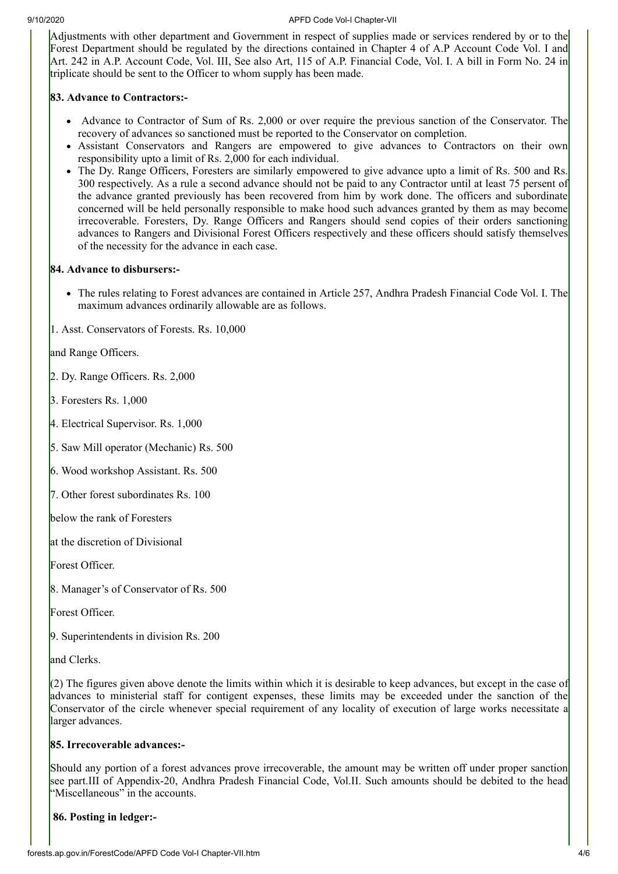Adjustments with other department and Government in respect of supplies made or services rendered by or to the Forest Department should be regulated by the directions contained in Chapter 4 of A.P Account Code Vol. I and Art. 242 in A.P. Account Code, Vol. III, See also Art, 115 of A.P. Financial Code, Vol. I. A bill in Form No. 24 in triplicate should be sent to the Officer to whom supply has been made.

# **83. Advance to Contractors:-**

- $\bullet$  Advance to Contractor of Sum of Rs. 2,000 or over require the previous sanction of the Conservator. The recovery of advances so sanctioned must be reported to the Conservator on completion.
- Assistant Conservators and Rangers are empowered to give advances to Contractors on their own responsibility upto a limit of Rs. 2,000 for each individual.
- The Dy. Range Officers, Foresters are similarly empowered to give advance upto a limit of Rs. 500 and Rs. 300 respectively. As a rule a second advance should not be paid to any Contractor until at least 75 persent of the advance granted previously has been recovered from him by work done. The officers and subordinate concerned will be held personally responsible to make hood such advances granted by them as may become irrecoverable. Foresters, Dy. Range Officers and Rangers should send copies of their orders sanctioning advances to Rangers and Divisional Forest Officers respectively and these officers should satisfy themselves of the necessity for the advance in each case.

# **84. Advance to disbursers:-**

• The rules relating to Forest advances are contained in Article 257, Andhra Pradesh Financial Code Vol. I. The maximum advances ordinarily allowable are as follows.

1. Asst. Conservators of Forests. Rs. 10,000

and Range Officers.

2. Dy. Range Officers. Rs. 2,000

3. Foresters Rs. 1,000

4. Electrical Supervisor. Rs. 1,000

5. Saw Mill operator (Mechanic) Rs. 500

6. Wood workshop Assistant. Rs. 500

7. Other forest subordinates Rs. 100

below the rank of Foresters

at the discretion of Divisional

Forest Officer.

8. Manager's of Conservator of Rs. 500

Forest Officer.

9. Superintendents in division Rs. 200

and Clerks.

 $(2)$  The figures given above denote the limits within which it is desirable to keep advances, but except in the case of advances to ministerial staff for contigent expenses, these limits may be exceeded under the sanction of the Conservator of the circle whenever special requirement of any locality of execution of large works necessitate a larger advances.

# **85. Irrecoverable advances:-**

Should any portion of a forest advances prove irrecoverable, the amount may be written off under proper sanction see part.III of Appendix-20, Andhra Pradesh Financial Code, Vol.II. Such amounts should be debited to the head "Miscellaneous" in the accounts.

**86. Posting in ledger:-**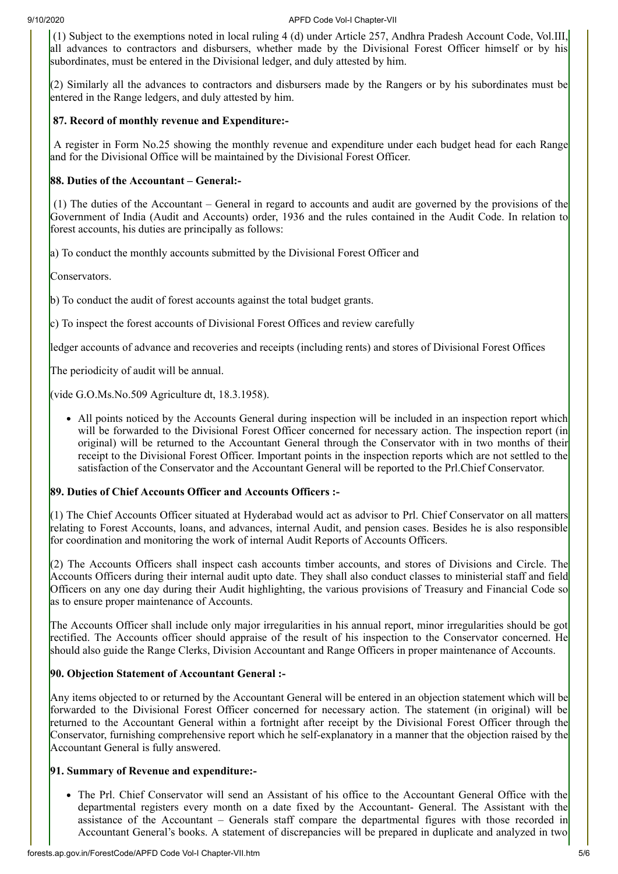(1) Subject to the exemptions noted in local ruling 4 (d) under Article 257, Andhra Pradesh Account Code, Vol.III, all advances to contractors and disbursers, whether made by the Divisional Forest Officer himself or by his subordinates, must be entered in the Divisional ledger, and duly attested by him.

(2) Similarly all the advances to contractors and disbursers made by the Rangers or by his subordinates must be entered in the Range ledgers, and duly attested by him.

# **87. Record of monthly revenue and Expenditure:-**

A register in Form No.25 showing the monthly revenue and expenditure under each budget head for each Range and for the Divisional Office will be maintained by the Divisional Forest Officer.

# **88. Duties of the Accountant – General:-**

(1) The duties of the Accountant – General in regard to accounts and audit are governed by the provisions of the Government of India (Audit and Accounts) order, 1936 and the rules contained in the Audit Code. In relation to forest accounts, his duties are principally as follows:

a) To conduct the monthly accounts submitted by the Divisional Forest Officer and

Conservators.

b) To conduct the audit of forest accounts against the total budget grants.

 $\bf c$ ) To inspect the forest accounts of Divisional Forest Offices and review carefully

ledger accounts of advance and recoveries and receipts (including rents) and stores of Divisional Forest Offices

The periodicity of audit will be annual.

(vide G.O.Ms.No.509 Agriculture dt, 18.3.1958).

• All points noticed by the Accounts General during inspection will be included in an inspection report which will be forwarded to the Divisional Forest Officer concerned for necessary action. The inspection report (in original) will be returned to the Accountant General through the Conservator with in two months of their receipt to the Divisional Forest Officer. Important points in the inspection reports which are not settled to the satisfaction of the Conservator and the Accountant General will be reported to the Prl.Chief Conservator.

# **89. Duties of Chief Accounts Officer and Accounts Officers :-**

(1) The Chief Accounts Officer situated at Hyderabad would act as advisor to Prl. Chief Conservator on all matters relating to Forest Accounts, loans, and advances, internal Audit, and pension cases. Besides he is also responsible for coordination and monitoring the work of internal Audit Reports of Accounts Officers.

 $(2)$  The Accounts Officers shall inspect cash accounts timber accounts, and stores of Divisions and Circle. The Accounts Officers during their internal audit upto date. They shall also conduct classes to ministerial staff and field Officers on any one day during their Audit highlighting, the various provisions of Treasury and Financial Code so as to ensure proper maintenance of Accounts.

The Accounts Officer shall include only major irregularities in his annual report, minor irregularities should be got rectified. The Accounts officer should appraise of the result of his inspection to the Conservator concerned. He should also guide the Range Clerks, Division Accountant and Range Officers in proper maintenance of Accounts.

# **90. Objection Statement of Accountant General :-**

Any items objected to or returned by the Accountant General will be entered in an objection statement which will be forwarded to the Divisional Forest Officer concerned for necessary action. The statement (in original) will be returned to the Accountant General within a fortnight after receipt by the Divisional Forest Officer through the Conservator, furnishing comprehensive report which he self-explanatory in a manner that the objection raised by the Accountant General is fully answered.

# **91. Summary of Revenue and expenditure:-**

• The Prl. Chief Conservator will send an Assistant of his office to the Accountant General Office with the departmental registers every month on a date fixed by the Accountant- General. The Assistant with the assistance of the Accountant – Generals staff compare the departmental figures with those recorded in Accountant General's books. A statement of discrepancies will be prepared in duplicate and analyzed in two